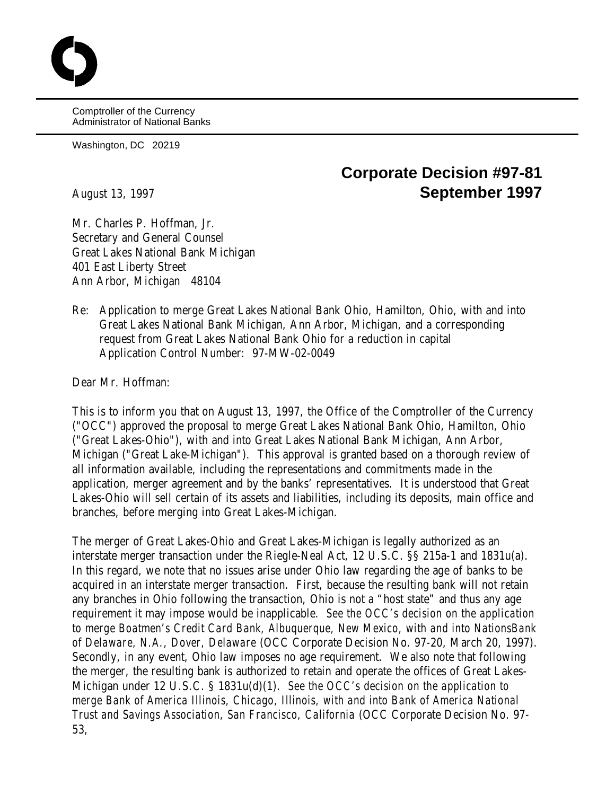Comptroller of the Currency Administrator of National Banks

Washington, DC 20219

## **Corporate Decision #97-81** August 13, 1997 **September 1997**

Mr. Charles P. Hoffman, Jr. Secretary and General Counsel Great Lakes National Bank Michigan 401 East Liberty Street Ann Arbor, Michigan 48104

Re: Application to merge Great Lakes National Bank Ohio, Hamilton, Ohio, with and into Great Lakes National Bank Michigan, Ann Arbor, Michigan, and a corresponding request from Great Lakes National Bank Ohio for a reduction in capital Application Control Number: 97-MW-02-0049

Dear Mr. Hoffman:

This is to inform you that on August 13, 1997, the Office of the Comptroller of the Currency ("OCC") approved the proposal to merge Great Lakes National Bank Ohio, Hamilton, Ohio ("Great Lakes-Ohio"), with and into Great Lakes National Bank Michigan, Ann Arbor, Michigan ("Great Lake-Michigan"). This approval is granted based on a thorough review of all information available, including the representations and commitments made in the application, merger agreement and by the banks' representatives. It is understood that Great Lakes-Ohio will sell certain of its assets and liabilities, including its deposits, main office and branches, before merging into Great Lakes-Michigan.

The merger of Great Lakes-Ohio and Great Lakes-Michigan is legally authorized as an interstate merger transaction under the Riegle-Neal Act, 12 U.S.C. §§ 215a-1 and 1831u(a). In this regard, we note that no issues arise under Ohio law regarding the age of banks to be acquired in an interstate merger transaction. First, because the resulting bank will not retain any branches in Ohio following the transaction, Ohio is not a "host state" and thus any age requirement it may impose would be inapplicable. *See the OCC's decision on the application to merge Boatmen's Credit Card Bank, Albuquerque, New Mexico, with and into NationsBank of Delaware, N.A., Dover, Delaware* (OCC Corporate Decision No. 97-20, March 20, 1997). Secondly, in any event, Ohio law imposes no age requirement. We also note that following the merger, the resulting bank is authorized to retain and operate the offices of Great Lakes-Michigan under 12 U.S.C. § 1831u(d)(1). *See the OCC's decision on the application to merge Bank of America Illinois, Chicago, Illinois, with and into Bank of America National Trust and Savings Association, San Francisco, California* (OCC Corporate Decision No. 97- 53,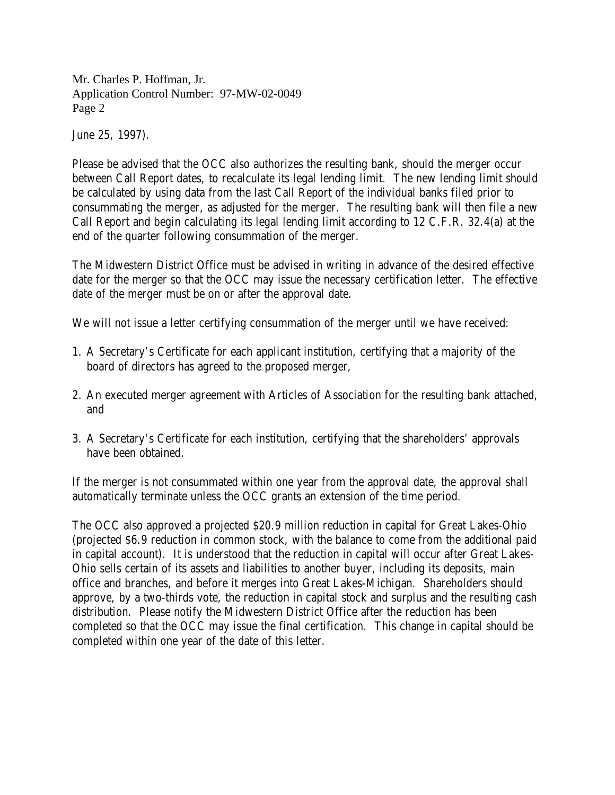Mr. Charles P. Hoffman, Jr. Application Control Number: 97-MW-02-0049 Page 2

June 25, 1997).

Please be advised that the OCC also authorizes the resulting bank, should the merger occur between Call Report dates, to recalculate its legal lending limit. The new lending limit should be calculated by using data from the last Call Report of the individual banks filed prior to consummating the merger, as adjusted for the merger. The resulting bank will then file a new Call Report and begin calculating its legal lending limit according to 12 C.F.R. 32.4(a) at the end of the quarter following consummation of the merger.

The Midwestern District Office must be advised in writing in advance of the desired effective date for the merger so that the OCC may issue the necessary certification letter. The effective date of the merger must be on or after the approval date.

We will not issue a letter certifying consummation of the merger until we have received:

- 1. A Secretary's Certificate for each applicant institution, certifying that a majority of the board of directors has agreed to the proposed merger,
- 2. An executed merger agreement with Articles of Association for the resulting bank attached, and
- 3. A Secretary's Certificate for each institution, certifying that the shareholders' approvals have been obtained.

If the merger is not consummated within one year from the approval date, the approval shall automatically terminate unless the OCC grants an extension of the time period.

The OCC also approved a projected \$20.9 million reduction in capital for Great Lakes-Ohio (projected \$6.9 reduction in common stock, with the balance to come from the additional paid in capital account). It is understood that the reduction in capital will occur after Great Lakes-Ohio sells certain of its assets and liabilities to another buyer, including its deposits, main office and branches, and before it merges into Great Lakes-Michigan. Shareholders should approve, by a two-thirds vote, the reduction in capital stock and surplus and the resulting cash distribution. Please notify the Midwestern District Office after the reduction has been completed so that the OCC may issue the final certification. This change in capital should be completed within one year of the date of this letter.